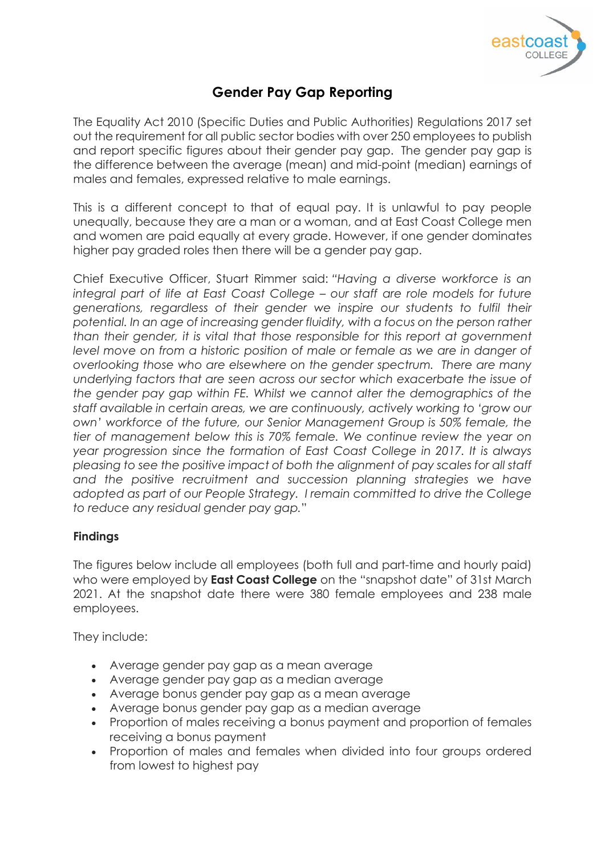

# **Gender Pay Gap Reporting**

The Equality Act 2010 (Specific Duties and Public Authorities) Regulations 2017 set out the requirement for all public sector bodies with over 250 employees to publish and report specific figures about their gender pay gap. The gender pay gap is the difference between the average (mean) and mid-point (median) earnings of males and females, expressed relative to male earnings.

This is a different concept to that of equal pay. It is unlawful to pay people unequally, because they are a man or a woman, and at East Coast College men and women are paid equally at every grade. However, if one gender dominates higher pay graded roles then there will be a gender pay gap.

Chief Executive Officer, Stuart Rimmer said: *"Having a diverse workforce is an integral part of life at East Coast College – our staff are role models for future generations, regardless of their gender we inspire our students to fulfil their potential. In an age of increasing gender fluidity, with a focus on the person rather than their gender, it is vital that those responsible for this report at government level move on from a historic position of male or female as we are in danger of overlooking those who are elsewhere on the gender spectrum. There are many underlying factors that are seen across our sector which exacerbate the issue of the gender pay gap within FE. Whilst we cannot alter the demographics of the staff available in certain areas, we are continuously, actively working to 'grow our own' workforce of the future, our Senior Management Group is 50% female, the tier of management below this is 70% female. We continue review the year on year progression since the formation of East Coast College in 2017. It is always pleasing to see the positive impact of both the alignment of pay scales for all staff* and the positive recruitment and succession planning strategies we have *adopted as part of our People Strategy. I remain committed to drive the College to reduce any residual gender pay gap.*"

# **Findings**

The figures below include all employees (both full and part-time and hourly paid) who were employed by **East Coast College** on the "snapshot date" of 31st March 2021. At the snapshot date there were 380 female employees and 238 male employees.

They include:

- Average gender pay gap as a mean average
- Average gender pay gap as a median average
- Average bonus gender pay gap as a mean average
- Average bonus gender pay gap as a median average
- Proportion of males receiving a bonus payment and proportion of females receiving a bonus payment
- Proportion of males and females when divided into four groups ordered from lowest to highest pay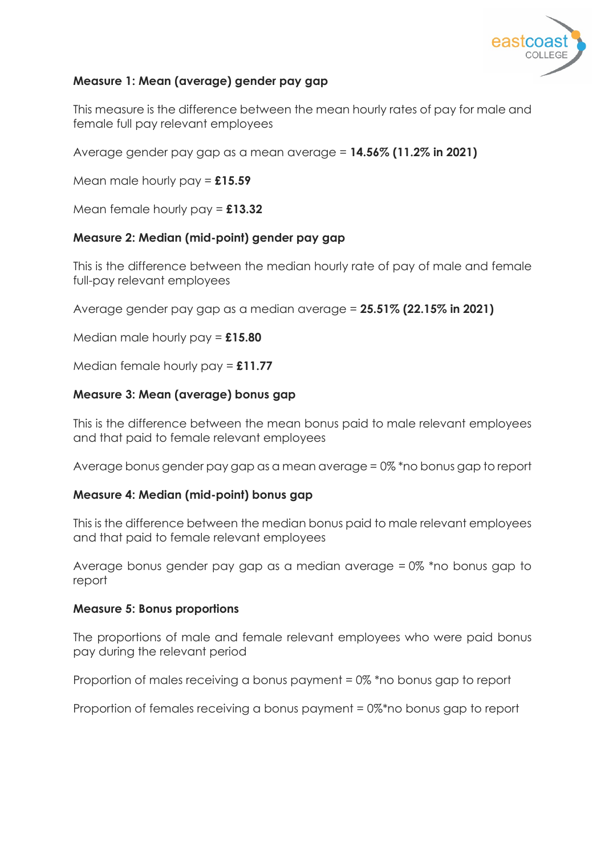

# **Measure 1: Mean (average) gender pay gap**

This measure is the difference between the mean hourly rates of pay for male and female full pay relevant employees

Average gender pay gap as a mean average = **14.56% (11.2% in 2021)**

Mean male hourly pay = **£15.59**

Mean female hourly pay = **£13.32**

# **Measure 2: Median (mid-point) gender pay gap**

This is the difference between the median hourly rate of pay of male and female full-pay relevant employees

Average gender pay gap as a median average = **25.51% (22.15% in 2021)**

Median male hourly pay = **£15.80**

Median female hourly pay = **£11.77**

# **Measure 3: Mean (average) bonus gap**

This is the difference between the mean bonus paid to male relevant employees and that paid to female relevant employees

Average bonus gender pay gap as a mean average = 0% \*no bonus gap to report

# **Measure 4: Median (mid-point) bonus gap**

This is the difference between the median bonus paid to male relevant employees and that paid to female relevant employees

Average bonus gender pay gap as a median average = 0% \*no bonus gap to report

#### **Measure 5: Bonus proportions**

The proportions of male and female relevant employees who were paid bonus pay during the relevant period

Proportion of males receiving a bonus payment = 0% \*no bonus gap to report

Proportion of females receiving a bonus payment = 0%\*no bonus gap to report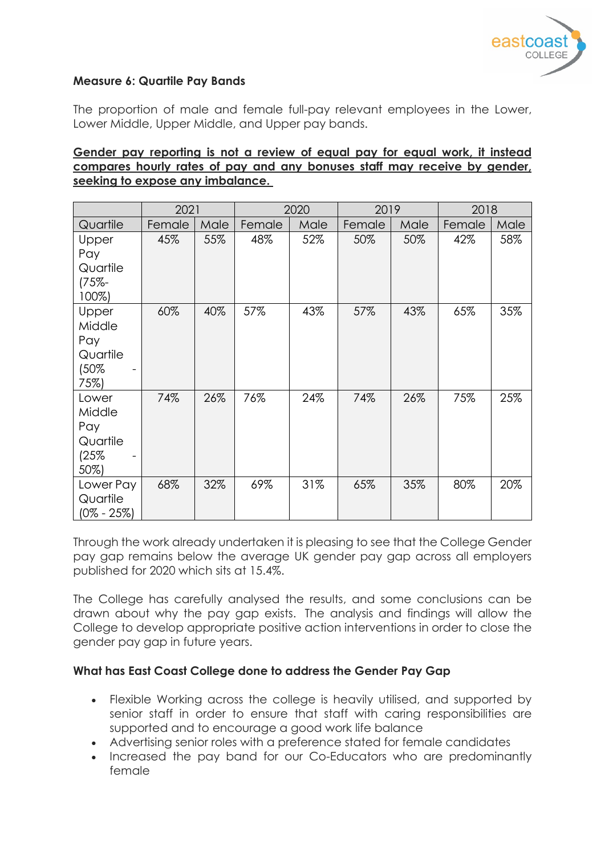

# **Measure 6: Quartile Pay Bands**

The proportion of male and female full-pay relevant employees in the Lower, Lower Middle, Upper Middle, and Upper pay bands.

# **Gender pay reporting is not a review of equal pay for equal work, it instead compares hourly rates of pay and any bonuses staff may receive by gender, seeking to expose any imbalance.**

|                                                    | 2021   |      | 2020   |      | 2019   |      | 2018   |      |
|----------------------------------------------------|--------|------|--------|------|--------|------|--------|------|
| Quartile                                           | Female | Male | Female | Male | Female | Male | Female | Male |
| Upper<br>Pay<br>Quartile<br>$(75% -$<br>100%)      | 45%    | 55%  | 48%    | 52%  | 50%    | 50%  | 42%    | 58%  |
| Upper<br>Middle<br>Pay<br>Quartile<br>(50%<br>75%) | 60%    | 40%  | 57%    | 43%  | 57%    | 43%  | 65%    | 35%  |
| Lower<br>Middle<br>Pay<br>Quartile<br>(25%<br>50%) | 74%    | 26%  | 76%    | 24%  | 74%    | 26%  | 75%    | 25%  |
| Lower Pay<br>Quartile<br>(0% - 25%)                | 68%    | 32%  | 69%    | 31%  | 65%    | 35%  | 80%    | 20%  |

Through the work already undertaken it is pleasing to see that the College Gender pay gap remains below the average UK gender pay gap across all employers published for 2020 which sits at 15.4%.

The College has carefully analysed the results, and some conclusions can be drawn about why the pay gap exists. The analysis and findings will allow the College to develop appropriate positive action interventions in order to close the gender pay gap in future years.

# **What has East Coast College done to address the Gender Pay Gap**

- Flexible Working across the college is heavily utilised, and supported by senior staff in order to ensure that staff with caring responsibilities are supported and to encourage a good work life balance
- Advertising senior roles with a preference stated for female candidates
- Increased the pay band for our Co-Educators who are predominantly female